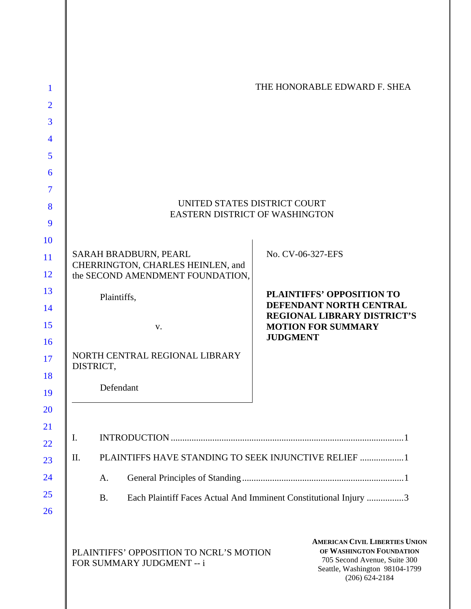| 1              |                                                                       | THE HONORABLE EDWARD F. SHEA                                                                                                                              |
|----------------|-----------------------------------------------------------------------|-----------------------------------------------------------------------------------------------------------------------------------------------------------|
| $\overline{2}$ |                                                                       |                                                                                                                                                           |
| 3              |                                                                       |                                                                                                                                                           |
| $\overline{4}$ |                                                                       |                                                                                                                                                           |
| 5              |                                                                       |                                                                                                                                                           |
| 6              |                                                                       |                                                                                                                                                           |
| $\overline{7}$ |                                                                       |                                                                                                                                                           |
| 8              |                                                                       | UNITED STATES DISTRICT COURT                                                                                                                              |
| 9              |                                                                       | EASTERN DISTRICT OF WASHINGTON                                                                                                                            |
| 10             |                                                                       |                                                                                                                                                           |
| 11             | SARAH BRADBURN, PEARL                                                 | No. CV-06-327-EFS                                                                                                                                         |
| 12             | CHERRINGTON, CHARLES HEINLEN, and<br>the SECOND AMENDMENT FOUNDATION, |                                                                                                                                                           |
| 13             | Plaintiffs,                                                           | <b>PLAINTIFFS' OPPOSITION TO</b>                                                                                                                          |
| 14             |                                                                       | DEFENDANT NORTH CENTRAL<br><b>REGIONAL LIBRARY DISTRICT'S</b>                                                                                             |
| 15<br>16       | V.                                                                    | <b>MOTION FOR SUMMARY</b><br><b>JUDGMENT</b>                                                                                                              |
| 17<br>18       | NORTH CENTRAL REGIONAL LIBRARY<br>DISTRICT,                           |                                                                                                                                                           |
| 19             | Defendant                                                             |                                                                                                                                                           |
| 20             |                                                                       |                                                                                                                                                           |
| 21<br>22       | Ι.                                                                    |                                                                                                                                                           |
| 23             | II.                                                                   | PLAINTIFFS HAVE STANDING TO SEEK INJUNCTIVE RELIEF  1                                                                                                     |
| 24             | A.                                                                    |                                                                                                                                                           |
| 25             | <b>B.</b>                                                             | Each Plaintiff Faces Actual And Imminent Constitutional Injury 3                                                                                          |
| 26             |                                                                       |                                                                                                                                                           |
|                | PLAINTIFFS' OPPOSITION TO NCRL'S MOTION<br>FOR SUMMARY JUDGMENT -- i  | <b>AMERICAN CIVIL LIBERTIES UNION</b><br>OF WASHINGTON FOUNDATION<br>705 Second Avenue, Suite 300<br>Seattle, Washington 98104-1799<br>$(206) 624 - 2184$ |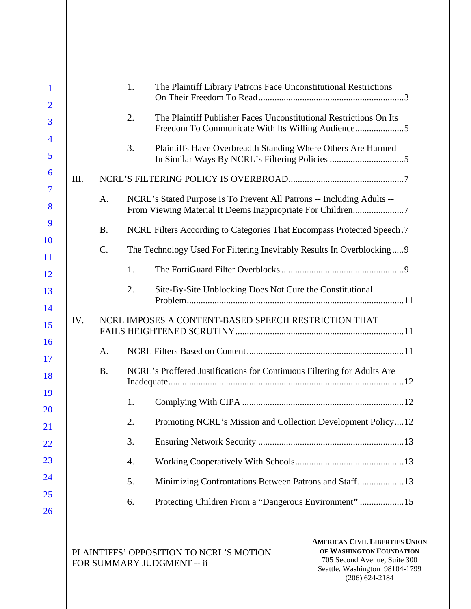|      |           | 1. | The Plaintiff Library Patrons Face Unconstitutional Restrictions                                                                     |  |
|------|-----------|----|--------------------------------------------------------------------------------------------------------------------------------------|--|
|      |           | 2. | The Plaintiff Publisher Faces Unconstitutional Restrictions On Its<br>Freedom To Communicate With Its Willing Audience5              |  |
|      |           | 3. | Plaintiffs Have Overbreadth Standing Where Others Are Harmed                                                                         |  |
| III. |           |    |                                                                                                                                      |  |
|      | A.        |    | NCRL's Stated Purpose Is To Prevent All Patrons -- Including Adults --<br>From Viewing Material It Deems Inappropriate For Children7 |  |
|      | <b>B.</b> |    | NCRL Filters According to Categories That Encompass Protected Speech.7                                                               |  |
|      | $C$ .     |    | The Technology Used For Filtering Inevitably Results In Overblocking 9                                                               |  |
|      |           | 1. |                                                                                                                                      |  |
|      |           | 2. | Site-By-Site Unblocking Does Not Cure the Constitutional                                                                             |  |
| IV.  |           |    | NCRL IMPOSES A CONTENT-BASED SPEECH RESTRICTION THAT                                                                                 |  |
|      | A.        |    |                                                                                                                                      |  |
|      | <b>B.</b> |    | NCRL's Proffered Justifications for Continuous Filtering for Adults Are                                                              |  |
|      |           | 1. |                                                                                                                                      |  |
|      |           | 2. | Promoting NCRL's Mission and Collection Development Policy12                                                                         |  |
|      |           | 3. |                                                                                                                                      |  |
|      |           | 4. |                                                                                                                                      |  |
|      |           | 5. | Minimizing Confrontations Between Patrons and Staff 13                                                                               |  |
|      |           | 6. |                                                                                                                                      |  |
|      |           |    |                                                                                                                                      |  |

PLAINTIFFS' OPPOSITION TO NCRL'S MOTION FOR SUMMARY JUDGMENT -- ii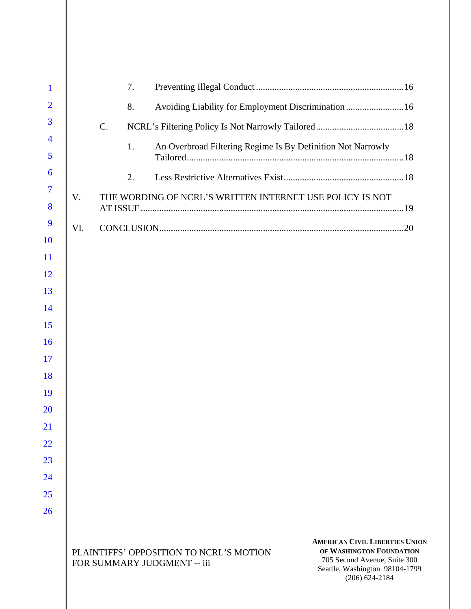| $\mathbf{1}$        |     |    | 7. |                                                                        |                                                                                                                                                           |  |
|---------------------|-----|----|----|------------------------------------------------------------------------|-----------------------------------------------------------------------------------------------------------------------------------------------------------|--|
| $\overline{2}$      |     |    | 8. |                                                                        | Avoiding Liability for Employment Discrimination  16                                                                                                      |  |
| 3                   |     | C. |    |                                                                        |                                                                                                                                                           |  |
| $\overline{4}$      |     |    | 1. |                                                                        | An Overbroad Filtering Regime Is By Definition Not Narrowly                                                                                               |  |
| 5                   |     |    |    |                                                                        |                                                                                                                                                           |  |
| 6                   |     |    | 2. |                                                                        |                                                                                                                                                           |  |
| $\overline{7}$<br>8 | V.  |    |    |                                                                        | THE WORDING OF NCRL'S WRITTEN INTERNET USE POLICY IS NOT                                                                                                  |  |
| 9                   | VI. |    |    |                                                                        |                                                                                                                                                           |  |
| <b>10</b>           |     |    |    |                                                                        |                                                                                                                                                           |  |
| <sup>11</sup>       |     |    |    |                                                                        |                                                                                                                                                           |  |
| <sup>12</sup>       |     |    |    |                                                                        |                                                                                                                                                           |  |
| 13                  |     |    |    |                                                                        |                                                                                                                                                           |  |
| 14                  |     |    |    |                                                                        |                                                                                                                                                           |  |
| 15                  |     |    |    |                                                                        |                                                                                                                                                           |  |
| <b>16</b><br>17     |     |    |    |                                                                        |                                                                                                                                                           |  |
| 18                  |     |    |    |                                                                        |                                                                                                                                                           |  |
| 19                  |     |    |    |                                                                        |                                                                                                                                                           |  |
| 20                  |     |    |    |                                                                        |                                                                                                                                                           |  |
| 21                  |     |    |    |                                                                        |                                                                                                                                                           |  |
| 22                  |     |    |    |                                                                        |                                                                                                                                                           |  |
| 23                  |     |    |    |                                                                        |                                                                                                                                                           |  |
| 24                  |     |    |    |                                                                        |                                                                                                                                                           |  |
| 25                  |     |    |    |                                                                        |                                                                                                                                                           |  |
| 26                  |     |    |    |                                                                        |                                                                                                                                                           |  |
|                     |     |    |    | PLAINTIFFS' OPPOSITION TO NCRL'S MOTION<br>FOR SUMMARY JUDGMENT -- iii | <b>AMERICAN CIVIL LIBERTIES UNION</b><br>OF WASHINGTON FOUNDATION<br>705 Second Avenue, Suite 300<br>Seattle, Washington 98104-1799<br>$(206) 624 - 2184$ |  |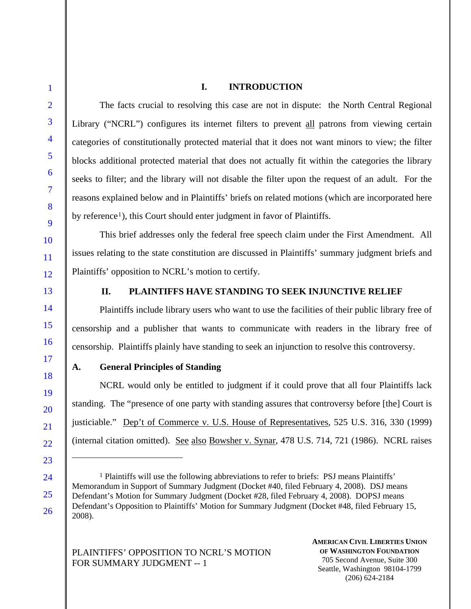# **I. INTRODUCTION**

The facts crucial to resolving this case are not in dispute: the North Central Regional Library ("NCRL") configures its internet filters to prevent all patrons from viewing certain categories of constitutionally protected material that it does not want minors to view; the filter blocks additional protected material that does not actually fit within the categories the library seeks to filter; and the library will not disable the filter upon the request of an adult. For the reasons explained below and in Plaintiffs' briefs on related motions (which are incorporated here by reference<sup>1</sup>), this Court should enter judgment in favor of Plaintiffs.

This brief addresses only the federal free speech claim under the First Amendment. All issues relating to the state constitution are discussed in Plaintiffs' summary judgment briefs and Plaintiffs' opposition to NCRL's motion to certify.

 $\overline{a}$ 

# **II. PLAINTIFFS HAVE STANDING TO SEEK INJUNCTIVE RELIEF**

Plaintiffs include library users who want to use the facilities of their public library free of censorship and a publisher that wants to communicate with readers in the library free of censorship. Plaintiffs plainly have standing to seek an injunction to resolve this controversy.

## **A. General Principles of Standing**

NCRL would only be entitled to judgment if it could prove that all four Plaintiffs lack standing. The "presence of one party with standing assures that controversy before [the] Court is justiciable." Dep't of Commerce v. U.S. House of Representatives, 525 U.S. 316, 330 (1999) (internal citation omitted). See also Bowsher v. Synar, 478 U.S. 714, 721 (1986). NCRL raises

PLAINTIFFS' OPPOSITION TO NCRL'S MOTION FOR SUMMARY JUDGMENT -- 1

**AMERICAN CIVIL LIBERTIES UNION OF WASHINGTON FOUNDATION** 705 Second Avenue, Suite 300 Seattle, Washington 98104-1799 (206) 624-2184

 $<sup>1</sup>$  Plaintiffs will use the following abbreviations to refer to briefs: PSJ means Plaintiffs'</sup> Memorandum in Support of Summary Judgment (Docket #40, filed February 4, 2008). DSJ means Defendant's Motion for Summary Judgment (Docket #28, filed February 4, 2008). DOPSJ means Defendant's Opposition to Plaintiffs' Motion for Summary Judgment (Docket #48, filed February 15, 2008).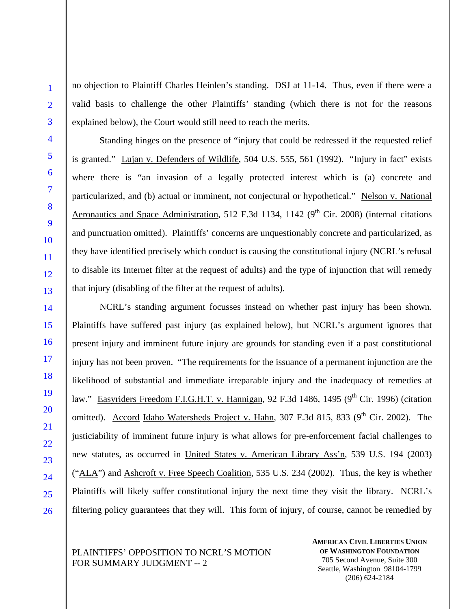no objection to Plaintiff Charles Heinlen's standing. DSJ at 11-14. Thus, even if there were a valid basis to challenge the other Plaintiffs' standing (which there is not for the reasons explained below), the Court would still need to reach the merits.

Standing hinges on the presence of "injury that could be redressed if the requested relief is granted." Lujan v. Defenders of Wildlife, 504 U.S. 555, 561 (1992). "Injury in fact" exists where there is "an invasion of a legally protected interest which is (a) concrete and particularized, and (b) actual or imminent, not conjectural or hypothetical." Nelson v. National Aeronautics and Space Administration, 512 F.3d 1134, 1142 ( $9<sup>th</sup>$  Cir. 2008) (internal citations and punctuation omitted). Plaintiffs' concerns are unquestionably concrete and particularized, as they have identified precisely which conduct is causing the constitutional injury (NCRL's refusal to disable its Internet filter at the request of adults) and the type of injunction that will remedy that injury (disabling of the filter at the request of adults).

NCRL's standing argument focusses instead on whether past injury has been shown. Plaintiffs have suffered past injury (as explained below), but NCRL's argument ignores that present injury and imminent future injury are grounds for standing even if a past constitutional injury has not been proven. "The requirements for the issuance of a permanent injunction are the likelihood of substantial and immediate irreparable injury and the inadequacy of remedies at law." Easyriders Freedom F.I.G.H.T. v. Hannigan, 92 F.3d 1486, 1495 (9<sup>th</sup> Cir. 1996) (citation omitted). Accord Idaho Watersheds Project v. Hahn, 307 F.3d 815, 833 (9<sup>th</sup> Cir. 2002). The justiciability of imminent future injury is what allows for pre-enforcement facial challenges to new statutes, as occurred in United States v. American Library Ass'n, 539 U.S. 194 (2003) ("ALA") and Ashcroft v. Free Speech Coalition, 535 U.S. 234 (2002). Thus, the key is whether Plaintiffs will likely suffer constitutional injury the next time they visit the library. NCRL's filtering policy guarantees that they will. This form of injury, of course, cannot be remedied by

## PLAINTIFFS' OPPOSITION TO NCRL'S MOTION FOR SUMMARY JUDGMENT -- 2

**AMERICAN CIVIL LIBERTIES UNION OF WASHINGTON FOUNDATION** 705 Second Avenue, Suite 300 Seattle, Washington 98104-1799 (206) 624-2184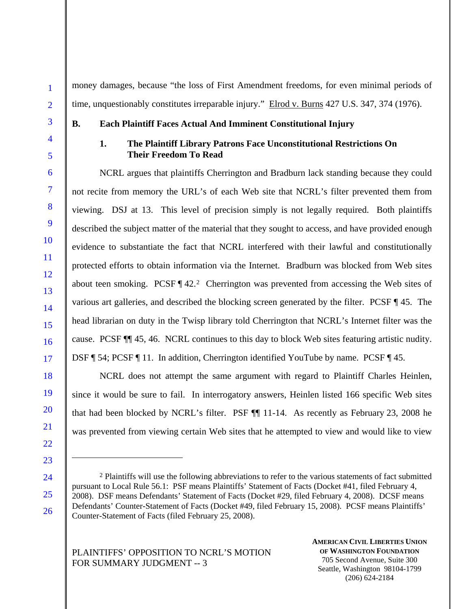money damages, because "the loss of First Amendment freedoms, for even minimal periods of time, unquestionably constitutes irreparable injury." Elrod v. Burns 427 U.S. 347, 374 (1976).

1

### **B. Each Plaintiff Faces Actual And Imminent Constitutional Injury**

### **1. The Plaintiff Library Patrons Face Unconstitutional Restrictions On Their Freedom To Read**

NCRL argues that plaintiffs Cherrington and Bradburn lack standing because they could not recite from memory the URL's of each Web site that NCRL's filter prevented them from viewing. DSJ at 13. This level of precision simply is not legally required. Both plaintiffs described the subject matter of the material that they sought to access, and have provided enough evidence to substantiate the fact that NCRL interfered with their lawful and constitutionally protected efforts to obtain information via the Internet. Bradburn was blocked from Web sites about teen smoking. PCSF  $\P$  42.<sup>2</sup> Cherrington was prevented from accessing the Web sites of various art galleries, and described the blocking screen generated by the filter. PCSF ¶ 45. The head librarian on duty in the Twisp library told Cherrington that NCRL's Internet filter was the cause. PCSF ¶¶ 45, 46. NCRL continues to this day to block Web sites featuring artistic nudity. DSF ¶ 54; PCSF ¶ 11. In addition, Cherrington identified YouTube by name. PCSF ¶ 45.

NCRL does not attempt the same argument with regard to Plaintiff Charles Heinlen, since it would be sure to fail. In interrogatory answers, Heinlen listed 166 specific Web sites that had been blocked by NCRL's filter. PSF ¶¶ 11-14. As recently as February 23, 2008 he was prevented from viewing certain Web sites that he attempted to view and would like to view

2 Plaintiffs will use the following abbreviations to refer to the various statements of fact submitted pursuant to Local Rule 56.1: PSF means Plaintiffs' Statement of Facts (Docket #41, filed February 4, 2008). DSF means Defendants' Statement of Facts (Docket #29, filed February 4, 2008). DCSF means Defendants' Counter-Statement of Facts (Docket #49, filed February 15, 2008). PCSF means Plaintiffs' Counter-Statement of Facts (filed February 25, 2008).

PLAINTIFFS' OPPOSITION TO NCRL'S MOTION FOR SUMMARY JUDGMENT -- 3

 $\overline{a}$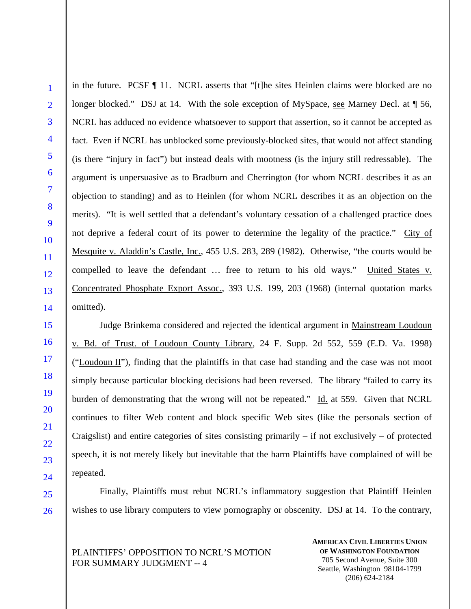1

in the future. PCSF ¶ 11. NCRL asserts that "[t]he sites Heinlen claims were blocked are no longer blocked." DSJ at 14. With the sole exception of MySpace, see Marney Decl. at  $\sqrt{ }$  56, NCRL has adduced no evidence whatsoever to support that assertion, so it cannot be accepted as fact. Even if NCRL has unblocked some previously-blocked sites, that would not affect standing (is there "injury in fact") but instead deals with mootness (is the injury still redressable). The argument is unpersuasive as to Bradburn and Cherrington (for whom NCRL describes it as an objection to standing) and as to Heinlen (for whom NCRL describes it as an objection on the merits). "It is well settled that a defendant's voluntary cessation of a challenged practice does not deprive a federal court of its power to determine the legality of the practice." City of Mesquite v. Aladdin's Castle, Inc., 455 U.S. 283, 289 (1982). Otherwise, "the courts would be compelled to leave the defendant … free to return to his old ways." United States v. Concentrated Phosphate Export Assoc., 393 U.S. 199, 203 (1968) (internal quotation marks omitted).

Judge Brinkema considered and rejected the identical argument in Mainstream Loudoun v. Bd. of Trust. of Loudoun County Library, 24 F. Supp. 2d 552, 559 (E.D. Va. 1998) ("Loudoun II"), finding that the plaintiffs in that case had standing and the case was not moot simply because particular blocking decisions had been reversed. The library "failed to carry its burden of demonstrating that the wrong will not be repeated." Id. at 559. Given that NCRL continues to filter Web content and block specific Web sites (like the personals section of Craigslist) and entire categories of sites consisting primarily  $-$  if not exclusively  $-$  of protected speech, it is not merely likely but inevitable that the harm Plaintiffs have complained of will be repeated.

Finally, Plaintiffs must rebut NCRL's inflammatory suggestion that Plaintiff Heinlen wishes to use library computers to view pornography or obscenity. DSJ at 14. To the contrary,

PLAINTIFFS' OPPOSITION TO NCRL'S MOTION FOR SUMMARY JUDGMENT -- 4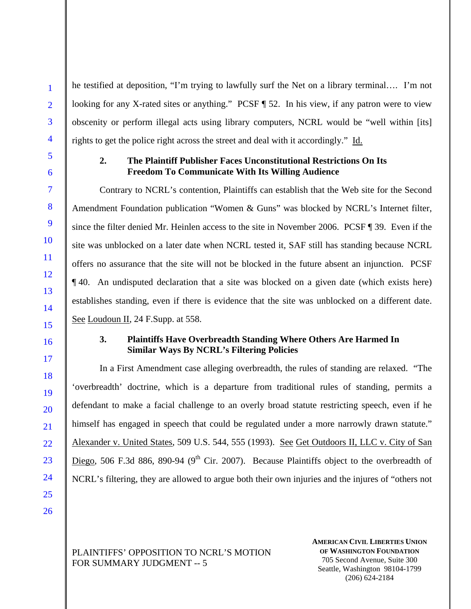he testified at deposition, "I'm trying to lawfully surf the Net on a library terminal…. I'm not looking for any X-rated sites or anything." PCSF ¶ 52. In his view, if any patron were to view obscenity or perform illegal acts using library computers, NCRL would be "well within [its] rights to get the police right across the street and deal with it accordingly." Id.

# **2. The Plaintiff Publisher Faces Unconstitutional Restrictions On Its Freedom To Communicate With Its Willing Audience**

Contrary to NCRL's contention, Plaintiffs can establish that the Web site for the Second Amendment Foundation publication "Women & Guns" was blocked by NCRL's Internet filter, since the filter denied Mr. Heinlen access to the site in November 2006. PCSF ¶ 39. Even if the site was unblocked on a later date when NCRL tested it, SAF still has standing because NCRL offers no assurance that the site will not be blocked in the future absent an injunction. PCSF ¶ 40. An undisputed declaration that a site was blocked on a given date (which exists here) establishes standing, even if there is evidence that the site was unblocked on a different date. See Loudoun II, 24 F.Supp. at 558.

# **3. Plaintiffs Have Overbreadth Standing Where Others Are Harmed In Similar Ways By NCRL's Filtering Policies**

In a First Amendment case alleging overbreadth, the rules of standing are relaxed. "The 'overbreadth' doctrine, which is a departure from traditional rules of standing, permits a defendant to make a facial challenge to an overly broad statute restricting speech, even if he himself has engaged in speech that could be regulated under a more narrowly drawn statute." Alexander v. United States, 509 U.S. 544, 555 (1993). See Get Outdoors II, LLC v. City of San Diego, 506 F.3d 886, 890-94 ( $9<sup>th</sup>$  Cir. 2007). Because Plaintiffs object to the overbreadth of NCRL's filtering, they are allowed to argue both their own injuries and the injures of "others not

PLAINTIFFS' OPPOSITION TO NCRL'S MOTION FOR SUMMARY JUDGMENT -- 5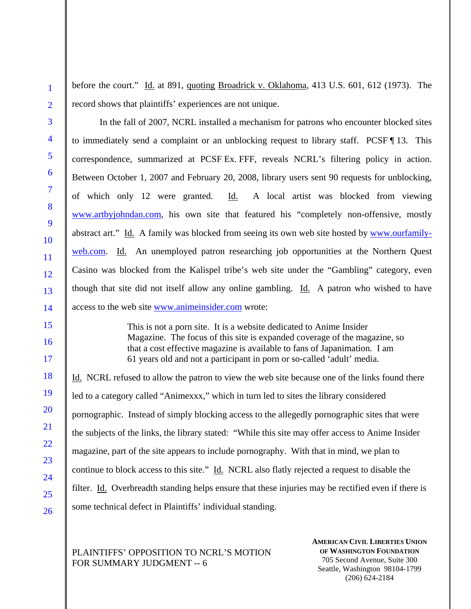before the court." Id. at 891, quoting Broadrick v. Oklahoma, 413 U.S. 601, 612 (1973). The record shows that plaintiffs' experiences are not unique.

In the fall of 2007, NCRL installed a mechanism for patrons who encounter blocked sites to immediately send a complaint or an unblocking request to library staff. PCSF ¶ 13. This correspondence, summarized at PCSF Ex. FFF, reveals NCRL's filtering policy in action. Between October 1, 2007 and February 20, 2008, library users sent 90 requests for unblocking, of which only 12 were granted. Id. A local artist was blocked from viewing www.artbyjohndan.com, his own site that featured his "completely non-offensive, mostly abstract art." Id. A family was blocked from seeing its own web site hosted by www.ourfamilyweb.com. Id. An unemployed patron researching job opportunities at the Northern Quest Casino was blocked from the Kalispel tribe's web site under the "Gambling" category, even though that site did not itself allow any online gambling. Id. A patron who wished to have access to the web site www.animeinsider.com wrote:

> This is not a porn site. It is a website dedicated to Anime Insider Magazine. The focus of this site is expanded coverage of the magazine, so that a cost effective magazine is available to fans of Japanimation. I am 61 years old and not a participant in porn or so-called 'adult' media.

Id. NCRL refused to allow the patron to view the web site because one of the links found there led to a category called "Animexxx," which in turn led to sites the library considered pornographic. Instead of simply blocking access to the allegedly pornographic sites that were the subjects of the links, the library stated: "While this site may offer access to Anime Insider magazine, part of the site appears to include pornography. With that in mind, we plan to continue to block access to this site." Id. NCRL also flatly rejected a request to disable the filter. Id. Overbreadth standing helps ensure that these injuries may be rectified even if there is some technical defect in Plaintiffs' individual standing.

# PLAINTIFFS' OPPOSITION TO NCRL'S MOTION FOR SUMMARY JUDGMENT -- 6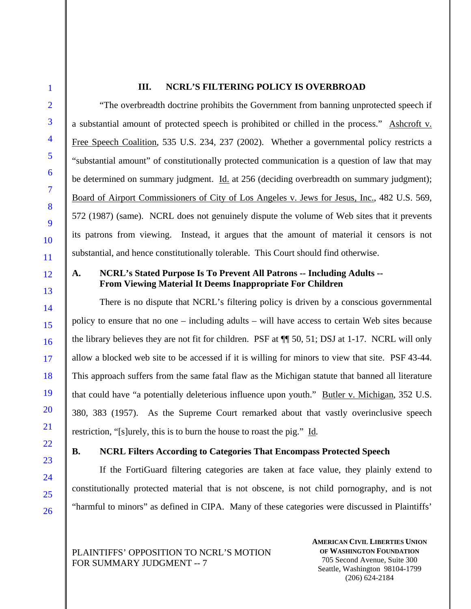## **III. NCRL'S FILTERING POLICY IS OVERBROAD**

"The overbreadth doctrine prohibits the Government from banning unprotected speech if a substantial amount of protected speech is prohibited or chilled in the process." Ashcroft v. Free Speech Coalition, 535 U.S. 234, 237 (2002). Whether a governmental policy restricts a "substantial amount" of constitutionally protected communication is a question of law that may be determined on summary judgment. Id. at 256 (deciding overbreadth on summary judgment); Board of Airport Commissioners of City of Los Angeles v. Jews for Jesus, Inc., 482 U.S. 569, 572 (1987) (same). NCRL does not genuinely dispute the volume of Web sites that it prevents its patrons from viewing. Instead, it argues that the amount of material it censors is not substantial, and hence constitutionally tolerable. This Court should find otherwise.

# **A. NCRL's Stated Purpose Is To Prevent All Patrons -- Including Adults -- From Viewing Material It Deems Inappropriate For Children**

There is no dispute that NCRL's filtering policy is driven by a conscious governmental policy to ensure that no one – including adults – will have access to certain Web sites because the library believes they are not fit for children. PSF at ¶¶ 50, 51; DSJ at 1-17. NCRL will only allow a blocked web site to be accessed if it is willing for minors to view that site. PSF 43-44. This approach suffers from the same fatal flaw as the Michigan statute that banned all literature that could have "a potentially deleterious influence upon youth." Butler v. Michigan, 352 U.S. 380, 383 (1957). As the Supreme Court remarked about that vastly overinclusive speech restriction, "[s]urely, this is to burn the house to roast the pig." Id*.*

## **B. NCRL Filters According to Categories That Encompass Protected Speech**

If the FortiGuard filtering categories are taken at face value, they plainly extend to constitutionally protected material that is not obscene, is not child pornography, and is not "harmful to minors" as defined in CIPA. Many of these categories were discussed in Plaintiffs'

PLAINTIFFS' OPPOSITION TO NCRL'S MOTION FOR SUMMARY JUDGMENT -- 7

**AMERICAN CIVIL LIBERTIES UNION OF WASHINGTON FOUNDATION** 705 Second Avenue, Suite 300 Seattle, Washington 98104-1799 (206) 624-2184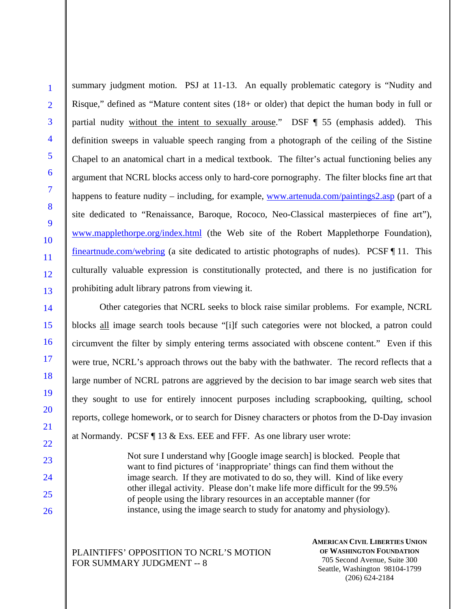1

summary judgment motion. PSJ at 11-13. An equally problematic category is "Nudity and Risque," defined as "Mature content sites (18+ or older) that depict the human body in full or partial nudity without the intent to sexually arouse." DSF ¶ 55 (emphasis added). This definition sweeps in valuable speech ranging from a photograph of the ceiling of the Sistine Chapel to an anatomical chart in a medical textbook. The filter's actual functioning belies any argument that NCRL blocks access only to hard-core pornography. The filter blocks fine art that happens to feature nudity – including, for example, www.artenuda.com/paintings2.asp (part of a site dedicated to "Renaissance, Baroque, Rococo, Neo-Classical masterpieces of fine art"), www.mapplethorpe.org/index.html (the Web site of the Robert Mapplethorpe Foundation), fineartnude.com/webring (a site dedicated to artistic photographs of nudes). PCSF ¶ 11. This culturally valuable expression is constitutionally protected, and there is no justification for prohibiting adult library patrons from viewing it.

Other categories that NCRL seeks to block raise similar problems. For example, NCRL blocks all image search tools because "[i]f such categories were not blocked, a patron could circumvent the filter by simply entering terms associated with obscene content." Even if this were true, NCRL's approach throws out the baby with the bathwater. The record reflects that a large number of NCRL patrons are aggrieved by the decision to bar image search web sites that they sought to use for entirely innocent purposes including scrapbooking, quilting, school reports, college homework, or to search for Disney characters or photos from the D-Day invasion at Normandy. PCSF ¶ 13 & Exs. EEE and FFF. As one library user wrote:

> Not sure I understand why [Google image search] is blocked. People that want to find pictures of 'inappropriate' things can find them without the image search. If they are motivated to do so, they will. Kind of like every other illegal activity. Please don't make life more difficult for the 99.5% of people using the library resources in an acceptable manner (for instance, using the image search to study for anatomy and physiology).

# PLAINTIFFS' OPPOSITION TO NCRL'S MOTION FOR SUMMARY JUDGMENT -- 8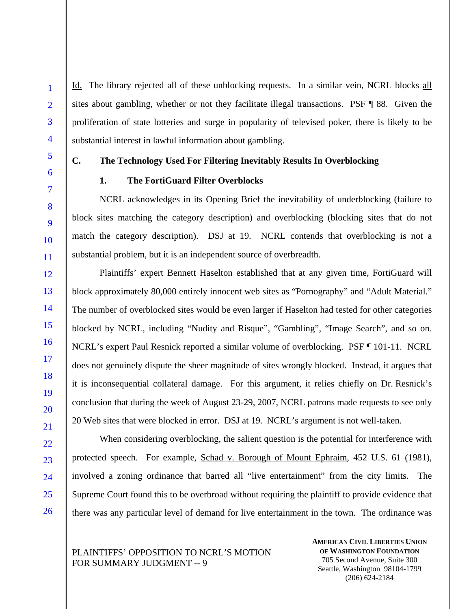Id. The library rejected all of these unblocking requests. In a similar vein, NCRL blocks all sites about gambling, whether or not they facilitate illegal transactions. PSF ¶ 88. Given the proliferation of state lotteries and surge in popularity of televised poker, there is likely to be substantial interest in lawful information about gambling.

# **C. The Technology Used For Filtering Inevitably Results In Overblocking**

### **1. The FortiGuard Filter Overblocks**

NCRL acknowledges in its Opening Brief the inevitability of underblocking (failure to block sites matching the category description) and overblocking (blocking sites that do not match the category description). DSJ at 19. NCRL contends that overblocking is not a substantial problem, but it is an independent source of overbreadth.

Plaintiffs' expert Bennett Haselton established that at any given time, FortiGuard will block approximately 80,000 entirely innocent web sites as "Pornography" and "Adult Material." The number of overblocked sites would be even larger if Haselton had tested for other categories blocked by NCRL, including "Nudity and Risque", "Gambling", "Image Search", and so on. NCRL's expert Paul Resnick reported a similar volume of overblocking. PSF ¶ 101-11. NCRL does not genuinely dispute the sheer magnitude of sites wrongly blocked. Instead, it argues that it is inconsequential collateral damage. For this argument, it relies chiefly on Dr. Resnick's conclusion that during the week of August 23-29, 2007, NCRL patrons made requests to see only 20 Web sites that were blocked in error. DSJ at 19. NCRL's argument is not well-taken.

When considering overblocking, the salient question is the potential for interference with protected speech. For example, Schad v. Borough of Mount Ephraim, 452 U.S. 61 (1981), involved a zoning ordinance that barred all "live entertainment" from the city limits. The Supreme Court found this to be overbroad without requiring the plaintiff to provide evidence that there was any particular level of demand for live entertainment in the town. The ordinance was

PLAINTIFFS' OPPOSITION TO NCRL'S MOTION FOR SUMMARY JUDGMENT -- 9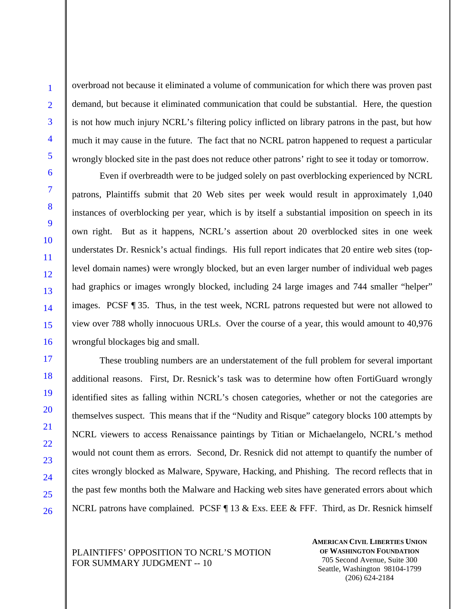overbroad not because it eliminated a volume of communication for which there was proven past demand, but because it eliminated communication that could be substantial. Here, the question is not how much injury NCRL's filtering policy inflicted on library patrons in the past, but how much it may cause in the future. The fact that no NCRL patron happened to request a particular wrongly blocked site in the past does not reduce other patrons' right to see it today or tomorrow.

Even if overbreadth were to be judged solely on past overblocking experienced by NCRL patrons, Plaintiffs submit that 20 Web sites per week would result in approximately 1,040 instances of overblocking per year, which is by itself a substantial imposition on speech in its own right. But as it happens, NCRL's assertion about 20 overblocked sites in one week understates Dr. Resnick's actual findings. His full report indicates that 20 entire web sites (toplevel domain names) were wrongly blocked, but an even larger number of individual web pages had graphics or images wrongly blocked, including 24 large images and 744 smaller "helper" images. PCSF ¶ 35. Thus, in the test week, NCRL patrons requested but were not allowed to view over 788 wholly innocuous URLs. Over the course of a year, this would amount to 40,976 wrongful blockages big and small.

These troubling numbers are an understatement of the full problem for several important additional reasons. First, Dr. Resnick's task was to determine how often FortiGuard wrongly identified sites as falling within NCRL's chosen categories, whether or not the categories are themselves suspect. This means that if the "Nudity and Risque" category blocks 100 attempts by NCRL viewers to access Renaissance paintings by Titian or Michaelangelo, NCRL's method would not count them as errors. Second, Dr. Resnick did not attempt to quantify the number of cites wrongly blocked as Malware, Spyware, Hacking, and Phishing. The record reflects that in the past few months both the Malware and Hacking web sites have generated errors about which NCRL patrons have complained. PCSF  $\P$  13 & Exs. EEE & FFF. Third, as Dr. Resnick himself

## PLAINTIFFS' OPPOSITION TO NCRL'S MOTION FOR SUMMARY JUDGMENT -- 10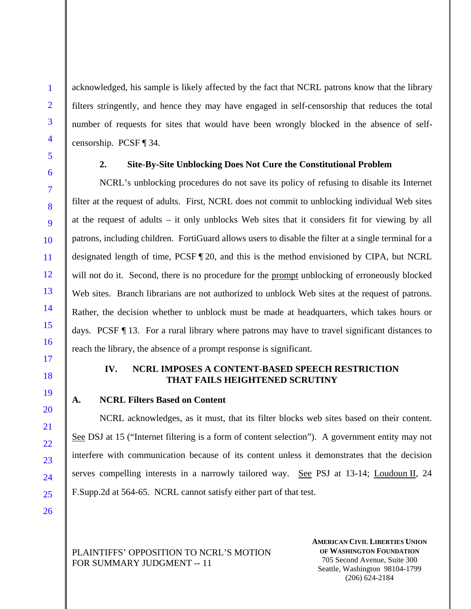acknowledged, his sample is likely affected by the fact that NCRL patrons know that the library filters stringently, and hence they may have engaged in self-censorship that reduces the total number of requests for sites that would have been wrongly blocked in the absence of selfcensorship. PCSF ¶ 34.

### **2. Site-By-Site Unblocking Does Not Cure the Constitutional Problem**

NCRL's unblocking procedures do not save its policy of refusing to disable its Internet filter at the request of adults. First, NCRL does not commit to unblocking individual Web sites at the request of adults – it only unblocks Web sites that it considers fit for viewing by all patrons, including children. FortiGuard allows users to disable the filter at a single terminal for a designated length of time, PCSF ¶ 20, and this is the method envisioned by CIPA, but NCRL will not do it. Second, there is no procedure for the prompt unblocking of erroneously blocked Web sites. Branch librarians are not authorized to unblock Web sites at the request of patrons. Rather, the decision whether to unblock must be made at headquarters, which takes hours or days. PCSF ¶ 13. For a rural library where patrons may have to travel significant distances to reach the library, the absence of a prompt response is significant.

# **IV. NCRL IMPOSES A CONTENT-BASED SPEECH RESTRICTION THAT FAILS HEIGHTENED SCRUTINY**

**A. NCRL Filters Based on Content** 

NCRL acknowledges, as it must, that its filter blocks web sites based on their content. See DSJ at 15 ("Internet filtering is a form of content selection"). A government entity may not interfere with communication because of its content unless it demonstrates that the decision serves compelling interests in a narrowly tailored way. See PSJ at 13-14; Loudoun II, 24 F.Supp.2d at 564-65. NCRL cannot satisfy either part of that test.

PLAINTIFFS' OPPOSITION TO NCRL'S MOTION FOR SUMMARY JUDGMENT -- 11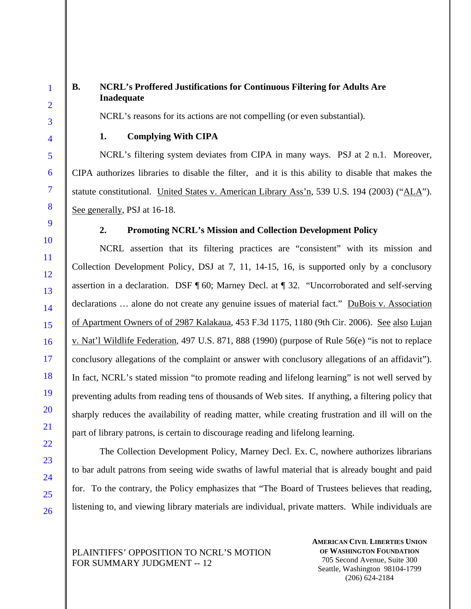1

# **B. NCRL's Proffered Justifications for Continuous Filtering for Adults Are Inadequate**

NCRL's reasons for its actions are not compelling (or even substantial).

## **1. Complying With CIPA**

NCRL's filtering system deviates from CIPA in many ways. PSJ at 2 n.1. Moreover, CIPA authorizes libraries to disable the filter, and it is this ability to disable that makes the statute constitutional. United States v. American Library Ass'n, 539 U.S. 194 (2003) ("ALA"). See generally, PSJ at 16-18.

#### **2. Promoting NCRL's Mission and Collection Development Policy**

NCRL assertion that its filtering practices are "consistent" with its mission and Collection Development Policy, DSJ at 7, 11, 14-15, 16, is supported only by a conclusory assertion in a declaration. DSF ¶ 60; Marney Decl. at ¶ 32. "Uncorroborated and self-serving declarations ... alone do not create any genuine issues of material fact." DuBois v. Association of Apartment Owners of of 2987 Kalakaua, 453 F.3d 1175, 1180 (9th Cir. 2006). See also Lujan v. Nat'l Wildlife Federation, 497 U.S. 871, 888 (1990) (purpose of Rule 56(e) "is not to replace conclusory allegations of the complaint or answer with conclusory allegations of an affidavit"). In fact, NCRL's stated mission "to promote reading and lifelong learning" is not well served by preventing adults from reading tens of thousands of Web sites. If anything, a filtering policy that sharply reduces the availability of reading matter, while creating frustration and ill will on the part of library patrons, is certain to discourage reading and lifelong learning.

The Collection Development Policy, Marney Decl. Ex. C, nowhere authorizes librarians to bar adult patrons from seeing wide swaths of lawful material that is already bought and paid for. To the contrary, the Policy emphasizes that "The Board of Trustees believes that reading, listening to, and viewing library materials are individual, private matters. While individuals are

PLAINTIFFS' OPPOSITION TO NCRL'S MOTION FOR SUMMARY JUDGMENT -- 12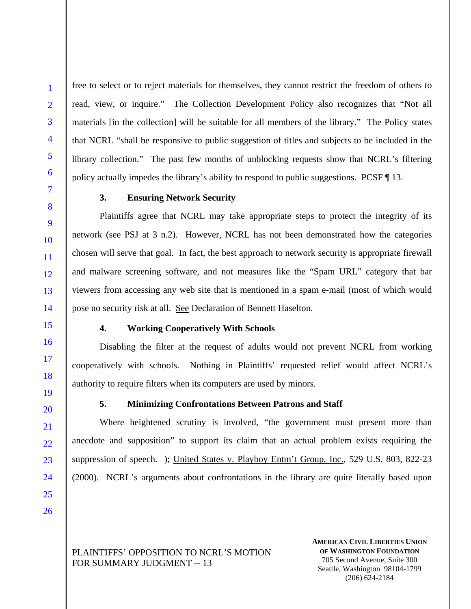free to select or to reject materials for themselves, they cannot restrict the freedom of others to read, view, or inquire." The Collection Development Policy also recognizes that "Not all materials [in the collection] will be suitable for all members of the library." The Policy states that NCRL "shall be responsive to public suggestion of titles and subjects to be included in the library collection." The past few months of unblocking requests show that NCRL's filtering policy actually impedes the library's ability to respond to public suggestions. PCSF ¶ 13.

# **3. Ensuring Network Security**

Plaintiffs agree that NCRL may take appropriate steps to protect the integrity of its network (see PSJ at 3 n.2). However, NCRL has not been demonstrated how the categories chosen will serve that goal. In fact, the best approach to network security is appropriate firewall and malware screening software, and not measures like the "Spam URL" category that bar viewers from accessing any web site that is mentioned in a spam e-mail (most of which would pose no security risk at all. See Declaration of Bennett Haselton.

#### **4. Working Cooperatively With Schools**

Disabling the filter at the request of adults would not prevent NCRL from working cooperatively with schools. Nothing in Plaintiffs' requested relief would affect NCRL's authority to require filters when its computers are used by minors.

# **5. Minimizing Confrontations Between Patrons and Staff**

Where heightened scrutiny is involved, "the government must present more than anecdote and supposition" to support its claim that an actual problem exists requiring the suppression of speech. ); United States v. Playboy Entm't Group, Inc., 529 U.S. 803, 822-23 (2000). NCRL's arguments about confrontations in the library are quite literally based upon

PLAINTIFFS' OPPOSITION TO NCRL'S MOTION FOR SUMMARY JUDGMENT -- 13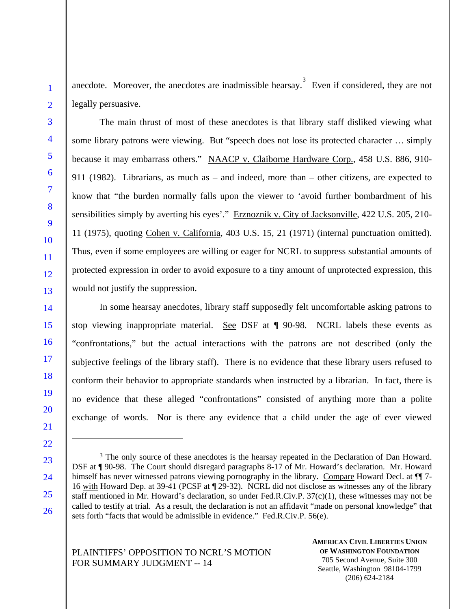anecdote. Moreover, the anecdotes are inadmissible hearsay.<sup>3</sup> Even if considered, they are not legally persuasive.

The main thrust of most of these anecdotes is that library staff disliked viewing what some library patrons were viewing. But "speech does not lose its protected character … simply because it may embarrass others." NAACP v. Claiborne Hardware Corp., 458 U.S. 886, 910- 911 (1982). Librarians, as much as – and indeed, more than – other citizens, are expected to know that "the burden normally falls upon the viewer to 'avoid further bombardment of his sensibilities simply by averting his eyes'." Erznoznik v. City of Jacksonville, 422 U.S. 205, 210- 11 (1975), quoting Cohen v. California, 403 U.S. 15, 21 (1971) (internal punctuation omitted). Thus, even if some employees are willing or eager for NCRL to suppress substantial amounts of protected expression in order to avoid exposure to a tiny amount of unprotected expression, this would not justify the suppression.

In some hearsay anecdotes, library staff supposedly felt uncomfortable asking patrons to stop viewing inappropriate material. See DSF at ¶ 90-98. NCRL labels these events as "confrontations," but the actual interactions with the patrons are not described (only the subjective feelings of the library staff). There is no evidence that these library users refused to conform their behavior to appropriate standards when instructed by a librarian. In fact, there is no evidence that these alleged "confrontations" consisted of anything more than a polite exchange of words. Nor is there any evidence that a child under the age of ever viewed

 $\overline{a}$ 

<sup>&</sup>lt;sup>3</sup> The only source of these anecdotes is the hearsay repeated in the Declaration of Dan Howard. DSF at ¶ 90-98. The Court should disregard paragraphs 8-17 of Mr. Howard's declaration. Mr. Howard himself has never witnessed patrons viewing pornography in the library. Compare Howard Decl. at  $\P$  7-16 with Howard Dep. at 39-41 (PCSF at ¶ 29-32). NCRL did not disclose as witnesses any of the library staff mentioned in Mr. Howard's declaration, so under Fed.R.Civ.P. 37(c)(1), these witnesses may not be called to testify at trial. As a result, the declaration is not an affidavit "made on personal knowledge" that sets forth "facts that would be admissible in evidence." Fed.R.Civ.P. 56(e).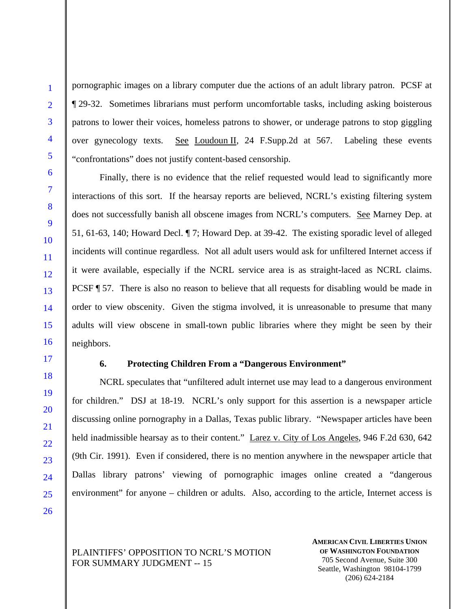pornographic images on a library computer due the actions of an adult library patron. PCSF at ¶ 29-32. Sometimes librarians must perform uncomfortable tasks, including asking boisterous patrons to lower their voices, homeless patrons to shower, or underage patrons to stop giggling over gynecology texts. See Loudoun II, 24 F.Supp.2d at 567. Labeling these events "confrontations" does not justify content-based censorship.

Finally, there is no evidence that the relief requested would lead to significantly more interactions of this sort. If the hearsay reports are believed, NCRL's existing filtering system does not successfully banish all obscene images from NCRL's computers. See Marney Dep. at 51, 61-63, 140; Howard Decl. ¶ 7; Howard Dep. at 39-42. The existing sporadic level of alleged incidents will continue regardless. Not all adult users would ask for unfiltered Internet access if it were available, especially if the NCRL service area is as straight-laced as NCRL claims. PCSF ¶ 57. There is also no reason to believe that all requests for disabling would be made in order to view obscenity. Given the stigma involved, it is unreasonable to presume that many adults will view obscene in small-town public libraries where they might be seen by their neighbors.

## **6. Protecting Children From a "Dangerous Environment"**

NCRL speculates that "unfiltered adult internet use may lead to a dangerous environment for children." DSJ at 18-19. NCRL's only support for this assertion is a newspaper article discussing online pornography in a Dallas, Texas public library. "Newspaper articles have been held inadmissible hearsay as to their content." Larez v. City of Los Angeles, 946 F.2d 630, 642 (9th Cir. 1991). Even if considered, there is no mention anywhere in the newspaper article that Dallas library patrons' viewing of pornographic images online created a "dangerous environment" for anyone – children or adults. Also, according to the article, Internet access is

PLAINTIFFS' OPPOSITION TO NCRL'S MOTION FOR SUMMARY JUDGMENT -- 15

**AMERICAN CIVIL LIBERTIES UNION OF WASHINGTON FOUNDATION** 705 Second Avenue, Suite 300 Seattle, Washington 98104-1799 (206) 624-2184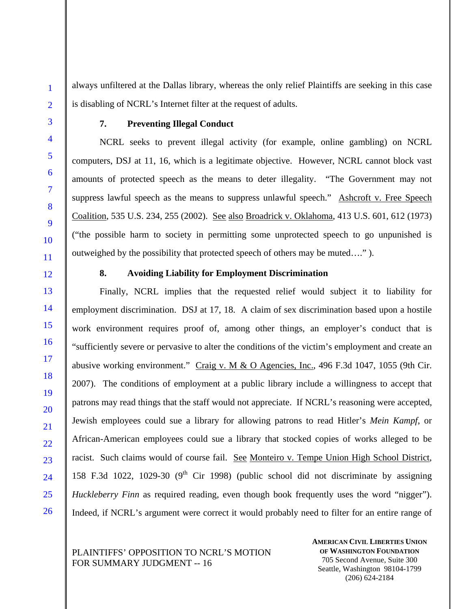always unfiltered at the Dallas library, whereas the only relief Plaintiffs are seeking in this case is disabling of NCRL's Internet filter at the request of adults.

# **7. Preventing Illegal Conduct**

NCRL seeks to prevent illegal activity (for example, online gambling) on NCRL computers, DSJ at 11, 16, which is a legitimate objective. However, NCRL cannot block vast amounts of protected speech as the means to deter illegality. "The Government may not suppress lawful speech as the means to suppress unlawful speech." Ashcroft v. Free Speech Coalition, 535 U.S. 234, 255 (2002). See also Broadrick v. Oklahoma, 413 U.S. 601, 612 (1973) ("the possible harm to society in permitting some unprotected speech to go unpunished is outweighed by the possibility that protected speech of others may be muted…." ).

#### **8. Avoiding Liability for Employment Discrimination**

Finally, NCRL implies that the requested relief would subject it to liability for employment discrimination. DSJ at 17, 18. A claim of sex discrimination based upon a hostile work environment requires proof of, among other things, an employer's conduct that is "sufficiently severe or pervasive to alter the conditions of the victim's employment and create an abusive working environment." Craig v. M & O Agencies, Inc., 496 F.3d 1047, 1055 (9th Cir. 2007). The conditions of employment at a public library include a willingness to accept that patrons may read things that the staff would not appreciate. If NCRL's reasoning were accepted, Jewish employees could sue a library for allowing patrons to read Hitler's *Mein Kampf*, or African-American employees could sue a library that stocked copies of works alleged to be racist. Such claims would of course fail. See Monteiro v. Tempe Union High School District, 158 F.3d 1022, 1029-30 ( $9<sup>th</sup>$  Cir 1998) (public school did not discriminate by assigning *Huckleberry Finn* as required reading, even though book frequently uses the word "nigger"). Indeed, if NCRL's argument were correct it would probably need to filter for an entire range of

# PLAINTIFFS' OPPOSITION TO NCRL'S MOTION FOR SUMMARY JUDGMENT -- 16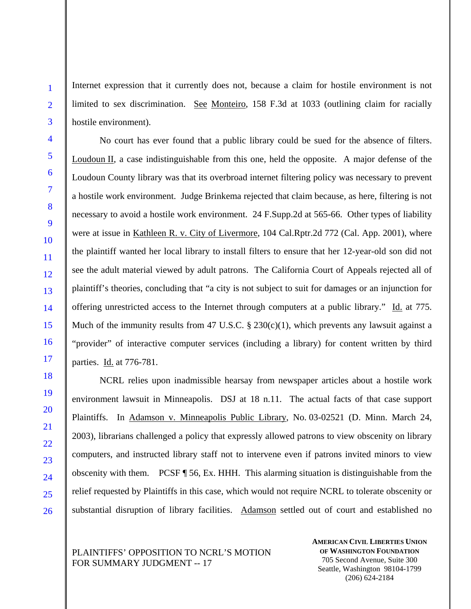Internet expression that it currently does not, because a claim for hostile environment is not limited to sex discrimination. See Monteiro, 158 F.3d at 1033 (outlining claim for racially hostile environment).

No court has ever found that a public library could be sued for the absence of filters. Loudoun II, a case indistinguishable from this one, held the opposite. A major defense of the Loudoun County library was that its overbroad internet filtering policy was necessary to prevent a hostile work environment. Judge Brinkema rejected that claim because, as here, filtering is not necessary to avoid a hostile work environment. 24 F.Supp.2d at 565-66. Other types of liability were at issue in Kathleen R. v. City of Livermore, 104 Cal.Rptr.2d 772 (Cal. App. 2001), where the plaintiff wanted her local library to install filters to ensure that her 12-year-old son did not see the adult material viewed by adult patrons. The California Court of Appeals rejected all of plaintiff's theories, concluding that "a city is not subject to suit for damages or an injunction for offering unrestricted access to the Internet through computers at a public library." Id. at 775. Much of the immunity results from 47 U.S.C.  $\S 230(c)(1)$ , which prevents any lawsuit against a "provider" of interactive computer services (including a library) for content written by third parties. Id. at 776-781.

NCRL relies upon inadmissible hearsay from newspaper articles about a hostile work environment lawsuit in Minneapolis. DSJ at 18 n.11. The actual facts of that case support Plaintiffs. In Adamson v. Minneapolis Public Library, No. 03-02521 (D. Minn. March 24, 2003), librarians challenged a policy that expressly allowed patrons to view obscenity on library computers, and instructed library staff not to intervene even if patrons invited minors to view obscenity with them. PCSF ¶ 56, Ex. HHH. This alarming situation is distinguishable from the relief requested by Plaintiffs in this case, which would not require NCRL to tolerate obscenity or substantial disruption of library facilities. Adamson settled out of court and established no

PLAINTIFFS' OPPOSITION TO NCRL'S MOTION FOR SUMMARY JUDGMENT -- 17

**AMERICAN CIVIL LIBERTIES UNION OF WASHINGTON FOUNDATION** 705 Second Avenue, Suite 300 Seattle, Washington 98104-1799 (206) 624-2184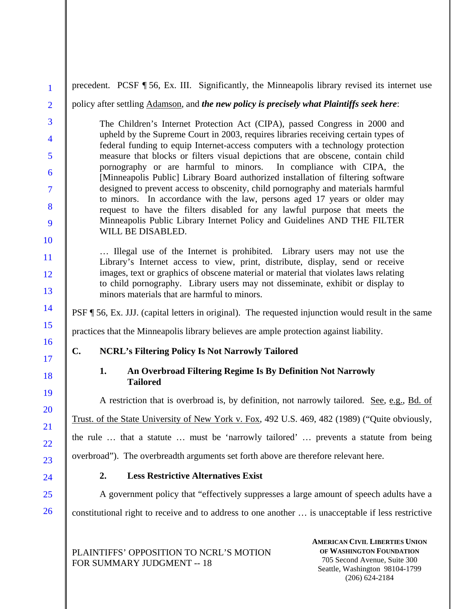| $\mathbf{1}$   | precedent. PCSF ¶ 56, Ex. III. Significantly, the Minneapolis library revised its internet use                                                                                    |  |  |  |  |  |
|----------------|-----------------------------------------------------------------------------------------------------------------------------------------------------------------------------------|--|--|--|--|--|
| $\overline{2}$ | policy after settling Adamson, and the new policy is precisely what Plaintiffs seek here:                                                                                         |  |  |  |  |  |
| 3              | The Children's Internet Protection Act (CIPA), passed Congress in 2000 and                                                                                                        |  |  |  |  |  |
| $\overline{4}$ | upheld by the Supreme Court in 2003, requires libraries receiving certain types of<br>federal funding to equip Internet-access computers with a technology protection             |  |  |  |  |  |
| 5              | measure that blocks or filters visual depictions that are obscene, contain child<br>pornography or are harmful to minors. In compliance with CIPA, the                            |  |  |  |  |  |
| 6              | [Minneapolis Public] Library Board authorized installation of filtering software                                                                                                  |  |  |  |  |  |
| $\overline{7}$ | designed to prevent access to obscenity, child pornography and materials harmful<br>to minors. In accordance with the law, persons aged 17 years or older may                     |  |  |  |  |  |
| 8              | request to have the filters disabled for any lawful purpose that meets the                                                                                                        |  |  |  |  |  |
| 9<br>10        | Minneapolis Public Library Internet Policy and Guidelines AND THE FILTER<br>WILL BE DISABLED.                                                                                     |  |  |  |  |  |
| 11             | Illegal use of the Internet is prohibited. Library users may not use the                                                                                                          |  |  |  |  |  |
| 12             | Library's Internet access to view, print, distribute, display, send or receive<br>images, text or graphics of obscene material or material that violates laws relating            |  |  |  |  |  |
| 13             | to child pornography. Library users may not disseminate, exhibit or display to<br>minors materials that are harmful to minors.                                                    |  |  |  |  |  |
| 14             | PSF 156, Ex. JJJ. (capital letters in original). The requested injunction would result in the same                                                                                |  |  |  |  |  |
| 15             | practices that the Minneapolis library believes are ample protection against liability.                                                                                           |  |  |  |  |  |
| 16<br>17       | C.<br><b>NCRL's Filtering Policy Is Not Narrowly Tailored</b>                                                                                                                     |  |  |  |  |  |
| 18             | An Overbroad Filtering Regime Is By Definition Not Narrowly<br>1.<br><b>Tailored</b>                                                                                              |  |  |  |  |  |
| 19<br>20       | A restriction that is overbroad is, by definition, not narrowly tailored. See, e.g., Bd. of                                                                                       |  |  |  |  |  |
| 21             | Trust. of the State University of New York v. Fox, 492 U.S. 469, 482 (1989) ("Quite obviously,                                                                                    |  |  |  |  |  |
| 22             | the rule  that a statute  must be 'narrowly tailored'  prevents a statute from being                                                                                              |  |  |  |  |  |
| 23             | overbroad"). The overbreadth arguments set forth above are therefore relevant here.                                                                                               |  |  |  |  |  |
| 24             | <b>Less Restrictive Alternatives Exist</b><br>2.                                                                                                                                  |  |  |  |  |  |
| 25             | A government policy that "effectively suppresses a large amount of speech adults have a                                                                                           |  |  |  |  |  |
| 26             | constitutional right to receive and to address to one another  is unacceptable if less restrictive                                                                                |  |  |  |  |  |
|                | <b>AMERICAN CIVIL LIBERTIES UNION</b><br>OF WASHINGTON FOUNDATION<br>PLAINTIFFS' OPPOSITION TO NCRL'S MOTION<br>705 Second Avenue, Suite 300<br><b>FOR SUMMARY JUDGMENT -- 18</b> |  |  |  |  |  |

Seattle, Washington 98104-1799 (206) 624-2184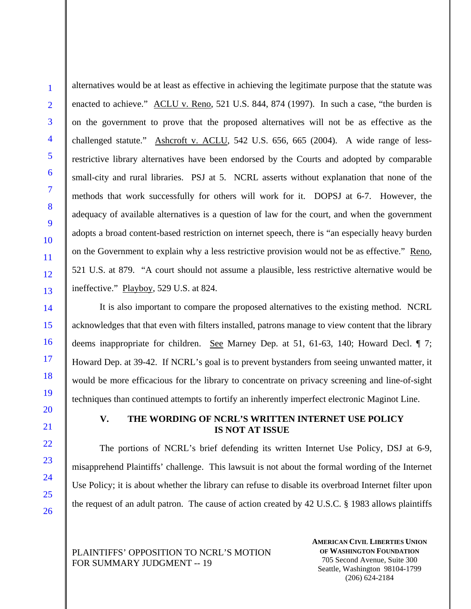1

alternatives would be at least as effective in achieving the legitimate purpose that the statute was enacted to achieve." ACLU v. Reno, 521 U.S. 844, 874 (1997). In such a case, "the burden is on the government to prove that the proposed alternatives will not be as effective as the challenged statute." Ashcroft v. ACLU, 542 U.S. 656, 665 (2004). A wide range of lessrestrictive library alternatives have been endorsed by the Courts and adopted by comparable small-city and rural libraries. PSJ at 5. NCRL asserts without explanation that none of the methods that work successfully for others will work for it. DOPSJ at 6-7. However, the adequacy of available alternatives is a question of law for the court, and when the government adopts a broad content-based restriction on internet speech, there is "an especially heavy burden on the Government to explain why a less restrictive provision would not be as effective." Reno, 521 U.S. at 879. "A court should not assume a plausible, less restrictive alternative would be ineffective." Playboy, 529 U.S. at 824.

It is also important to compare the proposed alternatives to the existing method. NCRL acknowledges that that even with filters installed, patrons manage to view content that the library deems inappropriate for children. See Marney Dep. at 51, 61-63, 140; Howard Decl. ¶ 7; Howard Dep. at 39-42. If NCRL's goal is to prevent bystanders from seeing unwanted matter, it would be more efficacious for the library to concentrate on privacy screening and line-of-sight techniques than continued attempts to fortify an inherently imperfect electronic Maginot Line.

# **V. THE WORDING OF NCRL'S WRITTEN INTERNET USE POLICY IS NOT AT ISSUE**

The portions of NCRL's brief defending its written Internet Use Policy, DSJ at 6-9, misapprehend Plaintiffs' challenge. This lawsuit is not about the formal wording of the Internet Use Policy; it is about whether the library can refuse to disable its overbroad Internet filter upon the request of an adult patron. The cause of action created by 42 U.S.C. § 1983 allows plaintiffs

PLAINTIFFS' OPPOSITION TO NCRL'S MOTION FOR SUMMARY JUDGMENT -- 19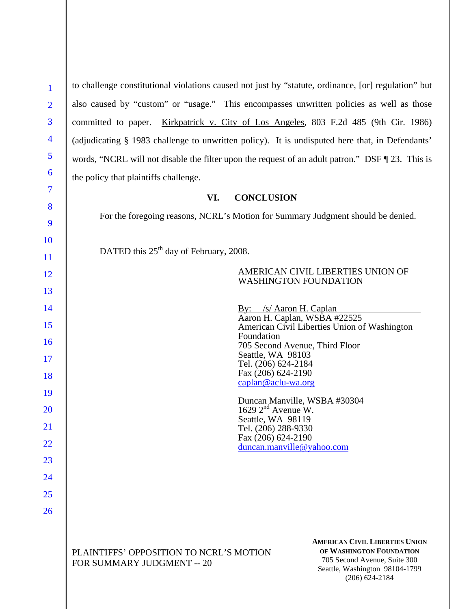| 1                        | to challenge constitutional violations caused not just by "statute, ordinance, [or] regulation" but                                                                                                                                       |
|--------------------------|-------------------------------------------------------------------------------------------------------------------------------------------------------------------------------------------------------------------------------------------|
| $\overline{2}$           | also caused by "custom" or "usage." This encompasses unwritten policies as well as those                                                                                                                                                  |
| 3                        | Kirkpatrick v. City of Los Angeles, 803 F.2d 485 (9th Cir. 1986)<br>committed to paper.                                                                                                                                                   |
| $\overline{\mathcal{A}}$ | (adjudicating § 1983 challenge to unwritten policy). It is undisputed here that, in Defendants'                                                                                                                                           |
| 5                        | words, "NCRL will not disable the filter upon the request of an adult patron." DSF ¶ 23. This is                                                                                                                                          |
| 6                        | the policy that plaintiffs challenge.                                                                                                                                                                                                     |
| $\overline{7}$           | VI.<br><b>CONCLUSION</b>                                                                                                                                                                                                                  |
| 8<br>9                   | For the foregoing reasons, NCRL's Motion for Summary Judgment should be denied.                                                                                                                                                           |
| 10<br>11                 | DATED this $25th$ day of February, 2008.                                                                                                                                                                                                  |
| 12                       | AMERICAN CIVIL LIBERTIES UNION OF<br><b>WASHINGTON FOUNDATION</b>                                                                                                                                                                         |
| 13<br>14                 | By: /s/ Aaron H. Caplan<br>Aaron H. Caplan, WSBA #22525                                                                                                                                                                                   |
| 15<br>16                 | American Civil Liberties Union of Washington<br>Foundation<br>705 Second Avenue, Third Floor                                                                                                                                              |
| 17<br>18                 | Seattle, WA 98103<br>Tel. (206) 624-2184<br>Fax (206) 624-2190                                                                                                                                                                            |
| 19                       | caplan@aclu-wa.org                                                                                                                                                                                                                        |
| 20                       | Duncan Manville, WSBA #30304<br>1629 $2nd$ Avenue W.                                                                                                                                                                                      |
| 21                       | Seattle, WA 98119<br>Tel. (206) 288-9330                                                                                                                                                                                                  |
| 22                       | Fax (206) 624-2190<br>duncan.manville@yahoo.com                                                                                                                                                                                           |
| 23                       |                                                                                                                                                                                                                                           |
| 24                       |                                                                                                                                                                                                                                           |
| 25                       |                                                                                                                                                                                                                                           |
| 26                       |                                                                                                                                                                                                                                           |
|                          | <b>AMERICAN CIVIL LIBERTIES UNION</b><br>OF WASHINGTON FOUNDATION<br>PLAINTIFFS' OPPOSITION TO NCRL'S MOTION<br>705 Second Avenue, Suite 300<br><b>FOR SUMMARY JUDGMENT -- 20</b><br>Seattle, Washington 98104-1799<br>$(206) 624 - 2184$ |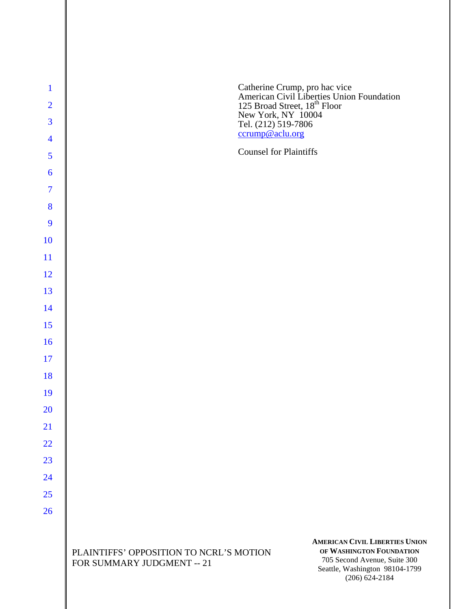| $\mathbf{1}$             |                                                                                                                                                                                                                                    |
|--------------------------|------------------------------------------------------------------------------------------------------------------------------------------------------------------------------------------------------------------------------------|
| $\overline{2}$           | Catherine Crump, pro hac vice<br>American Civil Liberties Union Foundation<br>125 Broad Street, 18 <sup>th</sup> Floor                                                                                                             |
| $\overline{3}$           | New York, NY 10004<br>Tel. (212) 519-7806                                                                                                                                                                                          |
| $\overline{\mathbf{4}}$  | ccrump@aclu.org                                                                                                                                                                                                                    |
| 5                        | <b>Counsel for Plaintiffs</b>                                                                                                                                                                                                      |
| 6                        |                                                                                                                                                                                                                                    |
| $\overline{\mathcal{I}}$ |                                                                                                                                                                                                                                    |
| 8                        |                                                                                                                                                                                                                                    |
| 9                        |                                                                                                                                                                                                                                    |
| 10                       |                                                                                                                                                                                                                                    |
| 11                       |                                                                                                                                                                                                                                    |
| 12                       |                                                                                                                                                                                                                                    |
| 13                       |                                                                                                                                                                                                                                    |
| 14                       |                                                                                                                                                                                                                                    |
| 15                       |                                                                                                                                                                                                                                    |
| 16                       |                                                                                                                                                                                                                                    |
| 17                       |                                                                                                                                                                                                                                    |
| 18                       |                                                                                                                                                                                                                                    |
| 19                       |                                                                                                                                                                                                                                    |
| 20                       |                                                                                                                                                                                                                                    |
| 21                       |                                                                                                                                                                                                                                    |
| 22                       |                                                                                                                                                                                                                                    |
| 23                       |                                                                                                                                                                                                                                    |
| 24                       |                                                                                                                                                                                                                                    |
| 25                       |                                                                                                                                                                                                                                    |
| 26                       |                                                                                                                                                                                                                                    |
|                          | <b>AMERICAN CIVIL LIBERTIES UNION</b><br>OF WASHINGTON FOUNDATION<br>PLAINTIFFS' OPPOSITION TO NCRL'S MOTION<br>705 Second Avenue, Suite 300<br>FOR SUMMARY JUDGMENT -- 21<br>Seattle, Washington 98104-1799<br>$(206) 624 - 2184$ |